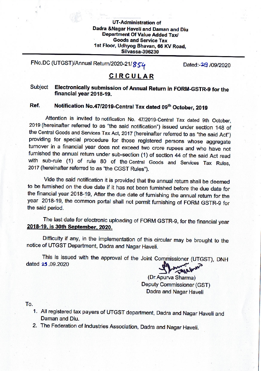### **UT-Administration of** Dadra & Nagar Haveli and Daman and Diu **Department Of Value Added Tax/ Goods and Service Tax** 1st Floor, Udhyog Bhavan, 66 KV Road, **Silvassa-396230**

FNo.DC (UTGST)/Annual Return/2020-21/854

Dated:-29 /09/2020

# **CIRCULAR**

### Electronically submission of Annual Return in FORM-GSTR-9 for the **Subject** financial year 2018-19.

#### Notification No.47/2019-Central Tax dated 09th October, 2019 Ref.

Attention is invited to notification No. 47/2019-Central Tax dated 9th October, 2019 (hereinafter referred to as "the said notification") issued under section 148 of the Central Goods and Services Tax Act, 2017 (hereinafter referred to as "the said Act") providing for special procedure for those registered persons whose aggregate turnover in a financial year does not exceed two crore rupees and who have not furnished the annual return under sub-section (1) of section 44 of the said Act read with sub-rule (1) of rule 80 of the Central Goods and Services Tax Rules, 2017 (hereinafter referred to as "the CGST Rules").

Vide the said notification it is provided that the annual return shall be deemed to be furnished on the due date if it has not been furnished before the due date for the financial year 2018-19, After the due date of furnishing the annual return for the year 2018-19, the common portal shall not permit furnishing of FORM GSTR-9 for the said period.

The last date for electronic uploading of FORM GSTR-9, for the financial year 2018-19, is 30th September, 2020.

Difficulty if any, in the implementation of this circular may be brought to the notice of UTGST Department, Dadra and Nagar Haveli.

This is issued with the approval of the Joint Commissioner (UTGST), DNH dated 29.09.2020

(Dr.Apurva Sharma) Deputy Commissioner (GST) Dadra and Nagar Haveli

To.

- 1. All registered tax payers of UTGST department, Dadra and Nagar Haveli and Daman and Diu.
- 2. The Federation of Industries Association, Dadra and Nagar Haveli.